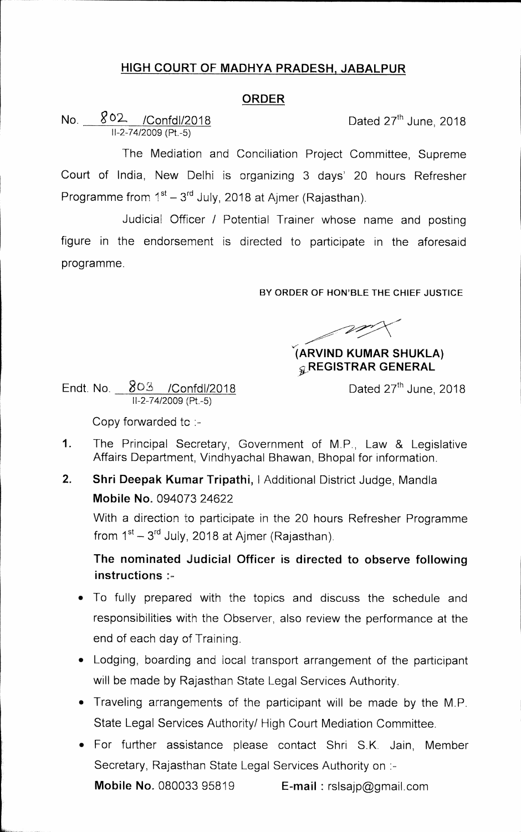## **HIGH COURT OF MADHYA PRADESH, JABALPUR**

## **ORDER**

No.  $802$  /Confdl/2018 Dated 27<sup>th</sup> June, 2018 11-2-74/2009 (Pt.-5)

The Mediation and Conciliation Project Committee, Supreme Court of India, New Delhi is organizing 3 days' 20 hours Refresher Programme from 1<sup>st</sup> – 3<sup>rd</sup> July, 2018 at Ajmer (Rajasthan).

Judicial Officer / Potential Trainer whose name and posting figure in the endorsement is directed to participate in the aforesaid programme.

BY **ORDER OF HON'BLE THE CHIEF JUSTICE** 

## **ARVIND KUMAR SHUKLA) REGISTRAR GENERAL**

Endt. No. 303 / Confdl/2018 Conference Dated 27<sup>th</sup> June, 2018 11-2-74/2009 (Pt.-5)

Copy forwarded to :-

- 1. The Principal Secretary, Government of M.P., Law & Legislative Affairs Department, Vindhyachal Bhawan, Bhopal for information.
- **2. Shri Deepak Kumar Tripathi,** I Additional District Judge, Mandla **Mobile No.** 094073 24622

With a direction to participate in the 20 hours Refresher Programme from  $1<sup>st</sup> - 3<sup>rd</sup>$  July, 2018 at Ajmer (Rajasthan).

**The nominated Judicial Officer is directed to observe following instructions** 

- To fully prepared with the topics and discuss the schedule and responsibilities with the Observer, also review the performance at the end of each day of Training.
- Lodging, boarding and local transport arrangement of the participant will be made by Rajasthan State Legal Services Authority.
- Traveling arrangements of the participant will be made by the M.P. State Legal Services Authority/ High Court Mediation Committee.
- For further assistance please contact Shri S.K. Jain, Member Secretary, Rajasthan State Legal Services Authority on **:-**

**Mobile No.** 080033 95819 **E-mail** rsIsajp@gmail.com